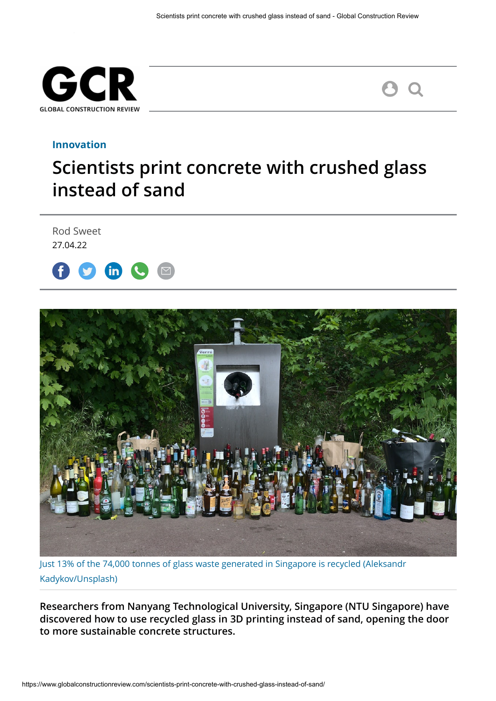



## **[Innovation](https://www.globalconstructionreview.com/category/innovation/)**

## **Scientists print concrete with crushed glass instead of sand**

Rod Sweet 27.04.22





[Just 13% of the 74,000 tonnes of glass waste generated in Singapore is recycled \(Aleksandr](https://unsplash.com/@kadykov) Kadykov/Unsplash)

**Researchers from Nanyang Technological University, Singapore (NTU Singapore) have discovered how to use recycled glass in 3D printing instead of sand, opening the door to more sustainable concrete structures.**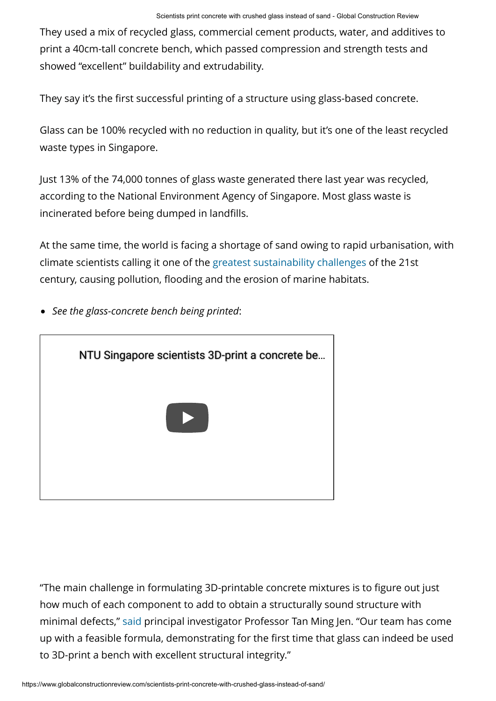They used a mix of recycled glass, commercial cement products, water, and additives to print a 40cm-tall concrete bench, which passed compression and strength tests and showed "excellent" buildability and extrudability.

They say it's the first successful printing of a structure using glass-based concrete.

Glass can be 100% recycled with no reduction in quality, but it's one of the least recycled waste types in Singapore.

Just 13% of the 74,000 tonnes of glass waste generated there last year was recycled, according to the National Environment Agency of Singapore. Most glass waste is incinerated before being dumped in landfills.

At the same time, the world is facing a shortage of sand owing to rapid urbanisation, with climate scientists calling it one of the [greatest sustainability challenges](https://www.globalconstructionreview.com/sand-mafias-are-destroying-beaches-and-habitat-rep/) of the 21st century, causing pollution, flooding and the erosion of marine habitats.

*See the glass-concrete bench being printed*:



"The main challenge in formulating 3D-printable concrete mixtures is to figure out just how much of each component to add to obtain a structurally sound structure with minimal defects," [said](https://www.ntu.edu.sg/news/detail/recycled-glass-waste-replaces-sand-in-3d-printing) principal investigator Professor Tan Ming Jen. "Our team has come up with a feasible formula, demonstrating for the first time that glass can indeed be used to 3D-print a bench with excellent structural integrity."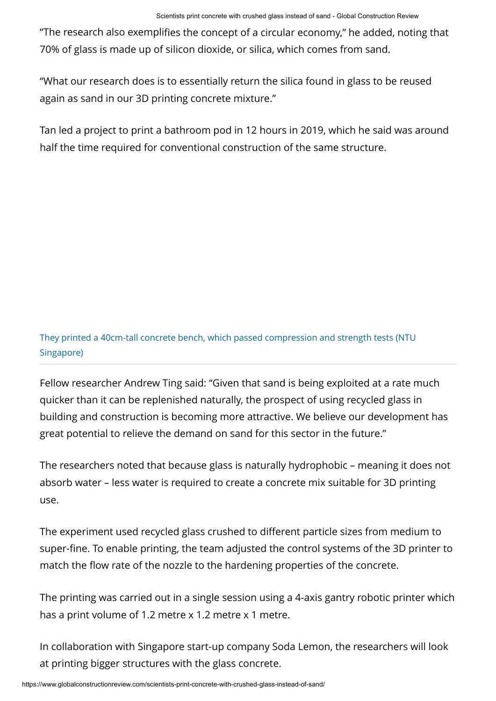"The research also exemplifies the concept of a circular economy," he added, noting that 70% of glass is made up of silicon dioxide, or silica, which comes from sand.

"What our research does is to essentially return the silica found in glass to be reused again as sand in our 3D printing concrete mixture."

Tan led a project to print a bathroom pod in 12 hours in 2019, which he said was around half the time required for conventional construction of the same structure.

They printed a 40cm-tall concrete bench, which passed compression and strength tests (NTU Singapore)

Fellow researcher Andrew Ting said: "Given that sand is being exploited at a rate much quicker than it can be replenished naturally, the prospect of using recycled glass in building and construction is becoming more attractive. We believe our development has great potential to relieve the demand on sand for this sector in the future."

The researchers noted that because glass is naturally hydrophobic – meaning it does not absorb water – less water is required to create a concrete mix suitable for 3D printing use.

The experiment used recycled glass crushed to different particle sizes from medium to super-fine. To enable printing, the team adjusted the control systems of the 3D printer to match the flow rate of the nozzle to the hardening properties of the concrete.

The printing was carried out in a single session using a 4-axis gantry robotic printer which has a print volume of 1.2 metre x 1.2 metre x 1 metre.

In collaboration with Singapore start-up company Soda Lemon, the researchers will look at printing bigger structures with the glass concrete.